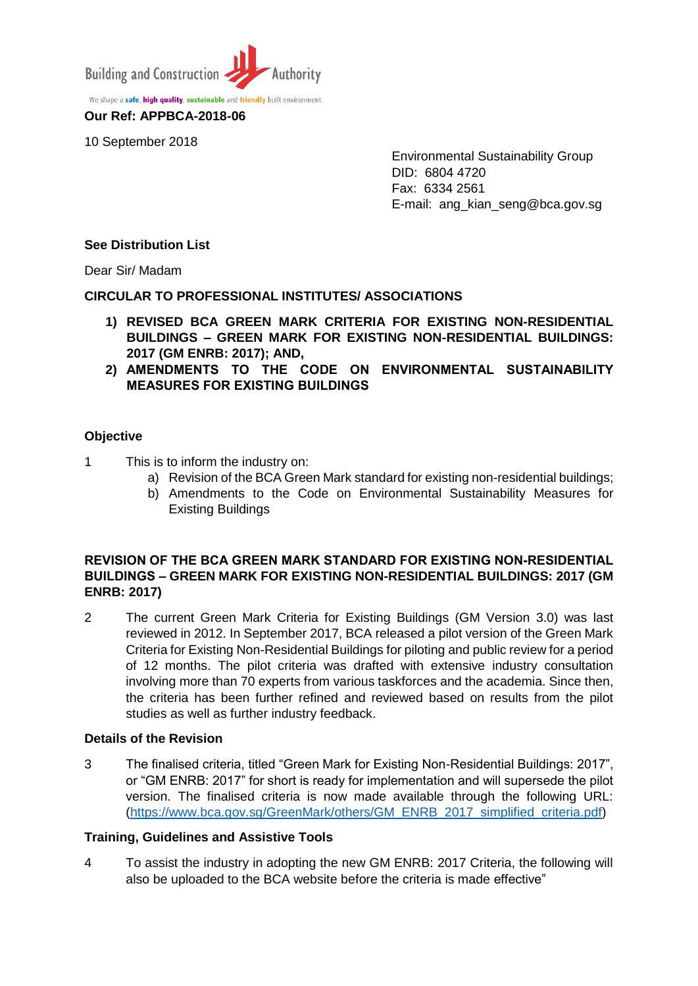

We shape a **safe, high quality, sustainable** and **friendly** built environment. **Our Ref: APPBCA-2018-06**

10 September 2018

Environmental Sustainability Group DID: 6804 4720 Fax: 6334 2561 E-mail: ang\_kian\_seng@bca.gov.sg

# **See Distribution List**

Dear Sir/ Madam

# **CIRCULAR TO PROFESSIONAL INSTITUTES/ ASSOCIATIONS**

- **1) REVISED BCA GREEN MARK CRITERIA FOR EXISTING NON-RESIDENTIAL BUILDINGS – GREEN MARK FOR EXISTING NON-RESIDENTIAL BUILDINGS: 2017 (GM ENRB: 2017); AND,**
- **2) AMENDMENTS TO THE CODE ON ENVIRONMENTAL SUSTAINABILITY MEASURES FOR EXISTING BUILDINGS**

### **Objective**

- 1 This is to inform the industry on:
	- a) Revision of the BCA Green Mark standard for existing non-residential buildings;
	- b) Amendments to the Code on Environmental Sustainability Measures for Existing Buildings

# **REVISION OF THE BCA GREEN MARK STANDARD FOR EXISTING NON-RESIDENTIAL BUILDINGS – GREEN MARK FOR EXISTING NON-RESIDENTIAL BUILDINGS: 2017 (GM ENRB: 2017)**

2 The current Green Mark Criteria for Existing Buildings (GM Version 3.0) was last reviewed in 2012. In September 2017, BCA released a pilot version of the Green Mark Criteria for Existing Non-Residential Buildings for piloting and public review for a period of 12 months. The pilot criteria was drafted with extensive industry consultation involving more than 70 experts from various taskforces and the academia. Since then, the criteria has been further refined and reviewed based on results from the pilot studies as well as further industry feedback.

#### **Details of the Revision**

3 The finalised criteria, titled "Green Mark for Existing Non-Residential Buildings: 2017", or "GM ENRB: 2017" for short is ready for implementation and will supersede the pilot version. The finalised criteria is now made available through the following URL: [\(https://www.bca.gov.sg/GreenMark/others/GM\\_ENRB\\_2017\\_simplified\\_criteria.pdf\)](https://www.bca.gov.sg/GreenMark/others/GM_ENRB_2017_simplified_criteria.pdf)

#### **Training, Guidelines and Assistive Tools**

4 To assist the industry in adopting the new GM ENRB: 2017 Criteria, the following will also be uploaded to the BCA website before the criteria is made effective"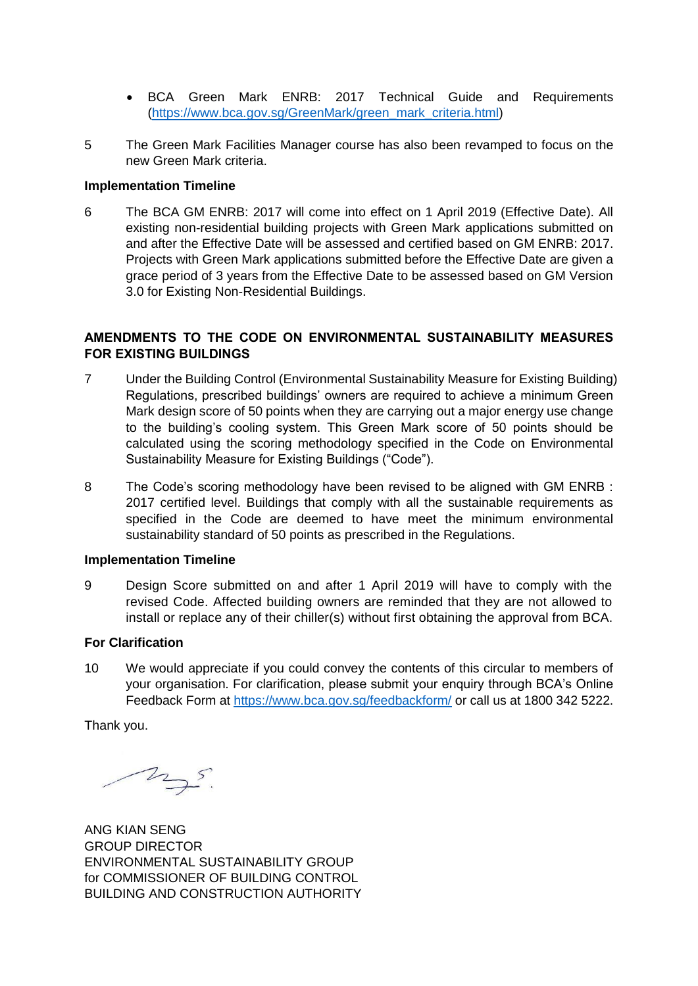- BCA Green Mark ENRB: 2017 Technical Guide and Requirements [\(https://www.bca.gov.sg/GreenMark/green\\_mark\\_criteria.html\)](https://www.bca.gov.sg/GreenMark/green_mark_criteria.html)
- 5 The Green Mark Facilities Manager course has also been revamped to focus on the new Green Mark criteria.

## **Implementation Timeline**

6 The BCA GM ENRB: 2017 will come into effect on 1 April 2019 (Effective Date). All existing non-residential building projects with Green Mark applications submitted on and after the Effective Date will be assessed and certified based on GM ENRB: 2017. Projects with Green Mark applications submitted before the Effective Date are given a grace period of 3 years from the Effective Date to be assessed based on GM Version 3.0 for Existing Non-Residential Buildings.

# **AMENDMENTS TO THE CODE ON ENVIRONMENTAL SUSTAINABILITY MEASURES FOR EXISTING BUILDINGS**

- 7 Under the Building Control (Environmental Sustainability Measure for Existing Building) Regulations, prescribed buildings' owners are required to achieve a minimum Green Mark design score of 50 points when they are carrying out a major energy use change to the building's cooling system. This Green Mark score of 50 points should be calculated using the scoring methodology specified in the Code on Environmental Sustainability Measure for Existing Buildings ("Code").
- 8 The Code's scoring methodology have been revised to be aligned with GM ENRB : 2017 certified level. Buildings that comply with all the sustainable requirements as specified in the Code are deemed to have meet the minimum environmental sustainability standard of 50 points as prescribed in the Regulations.

# **Implementation Timeline**

9 Design Score submitted on and after 1 April 2019 will have to comply with the revised Code. Affected building owners are reminded that they are not allowed to install or replace any of their chiller(s) without first obtaining the approval from BCA.

#### **For Clarification**

10 We would appreciate if you could convey the contents of this circular to members of your organisation. For clarification, please submit your enquiry through BCA's Online Feedback Form at<https://www.bca.gov.sg/feedbackform/> or call us at 1800 342 5222.

Thank you.

mys.

ANG KIAN SENG GROUP DIRECTOR ENVIRONMENTAL SUSTAINABILITY GROUP for COMMISSIONER OF BUILDING CONTROL BUILDING AND CONSTRUCTION AUTHORITY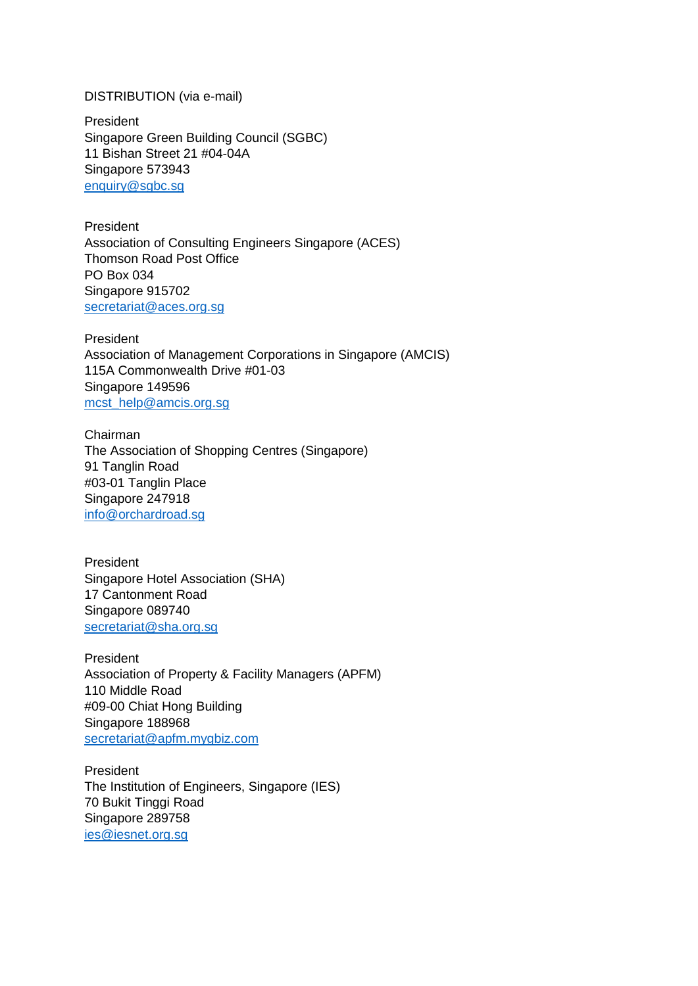# DISTRIBUTION (via e-mail)

President Singapore Green Building Council (SGBC) 11 Bishan Street 21 #04-04A Singapore 573943 [enquiry@sgbc.sg](mailto:enquiry@sgbc.sg)

President Association of Consulting Engineers Singapore (ACES) Thomson Road Post Office PO Box 034 Singapore 915702 [secretariat@aces.org.sg](mailto:secretariat@aces.org.sg)

President Association of Management Corporations in Singapore (AMCIS) 115A Commonwealth Drive #01-03 Singapore 149596 [mcst\\_help@amcis.org.sg](mailto:mcst_help@amcis.org.sg)

Chairman The Association of Shopping Centres (Singapore) 91 Tanglin Road #03-01 Tanglin Place Singapore 247918 [info@orchardroad.sg](mailto:info@orchardroad.sg)

President Singapore Hotel Association (SHA) 17 Cantonment Road Singapore 089740 [secretariat@sha.org.sg](mailto:secretariat@sha.org.sg)

President Association of Property & Facility Managers (APFM) 110 Middle Road #09-00 Chiat Hong Building Singapore 188968 [secretariat@apfm.mygbiz.com](mailto:apfm@pacific.net.sg)

President The Institution of Engineers, Singapore (IES) 70 Bukit Tinggi Road Singapore 289758 [ies@iesnet.org.sg](mailto:ies@iesnet.org.sg)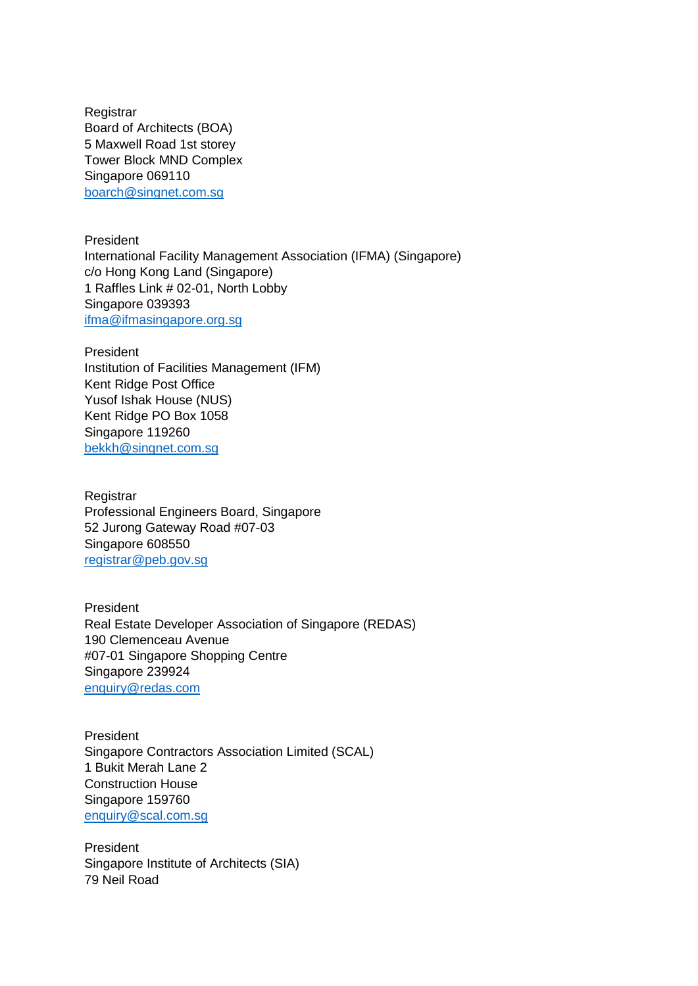**Registrar** Board of Architects (BOA) 5 Maxwell Road 1st storey Tower Block MND Complex Singapore 069110 [boarch@singnet.com.sg](mailto:boarch@singnet.com.sg)

President International Facility Management Association (IFMA) (Singapore) c/o Hong Kong Land (Singapore) 1 Raffles Link # 02-01, North Lobby Singapore 039393 [ifma@ifmasingapore.org.sg](mailto:ifma@ifmasingapore.org.sg)

President Institution of Facilities Management (IFM) Kent Ridge Post Office Yusof Ishak House (NUS) Kent Ridge PO Box 1058 Singapore 119260 [bekkh@singnet.com.sg](mailto:bekkh@singnet.com.sg)

**Registrar** Professional Engineers Board, Singapore 52 Jurong Gateway Road #07-03 Singapore 608550 [registrar@peb.gov.sg](mailto:registrar@peb.gov.sg)

President Real Estate Developer Association of Singapore (REDAS) 190 Clemenceau Avenue #07-01 Singapore Shopping Centre Singapore 239924 [enquiry@redas.com](mailto:enquiry@redas.com)

President Singapore Contractors Association Limited (SCAL) 1 Bukit Merah Lane 2 Construction House Singapore 159760 [enquiry@scal.com.sg](mailto:enquiry@scal.com.sg)

President Singapore Institute of Architects (SIA) 79 Neil Road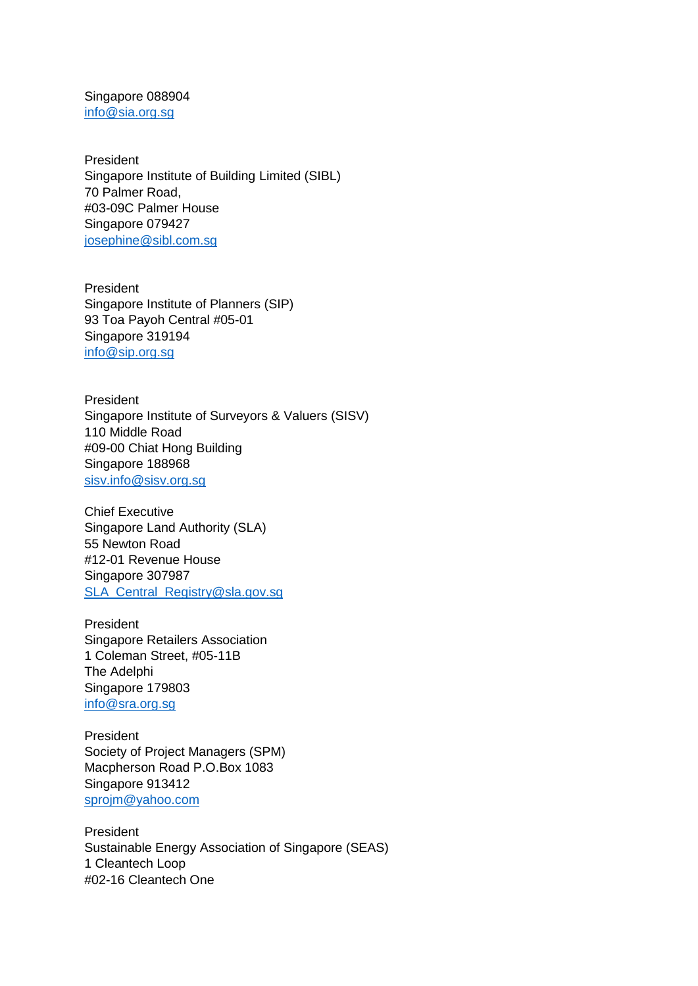Singapore 088904 [info@sia.org.sg](mailto:info@sia.org.sg)

President Singapore Institute of Building Limited (SIBL) 70 Palmer Road, #03-09C Palmer House Singapore 079427 [josephine@sibl.com.sg](mailto:josephine@sibl.com.sg)

President Singapore Institute of Planners (SIP) 93 Toa Payoh Central #05-01 Singapore 319194 [info@sip.org.sg](mailto:info@sip.org.sg)

President Singapore Institute of Surveyors & Valuers (SISV) 110 Middle Road #09-00 Chiat Hong Building Singapore 188968 [sisv.info@sisv.org.sg](mailto:sisv.info@sisv.org.sg)

Chief Executive Singapore Land Authority (SLA) 55 Newton Road #12-01 Revenue House Singapore 307987 [SLA\\_Central\\_Registry@sla.gov.sg](mailto:SLA_Central_Registry@sla.gov.sg)

President Singapore Retailers Association 1 Coleman Street, #05-11B The Adelphi Singapore 179803 [info@sra.org.sg](mailto:info@sra.org.sg)

President Society of Project Managers (SPM) Macpherson Road P.O.Box 1083 Singapore 913412 [sprojm@yahoo.com](mailto:sprojm@yahoo.com)

President Sustainable Energy Association of Singapore (SEAS) 1 Cleantech Loop #02-16 Cleantech One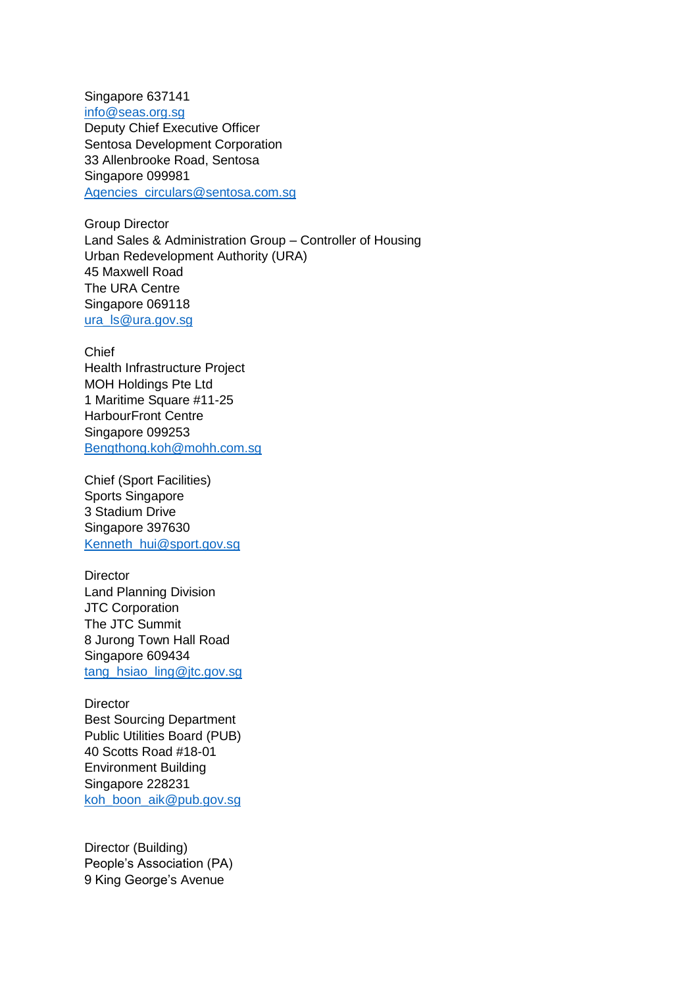Singapore 637141 [info@seas.org.sg](mailto:info@seas.org.sg) Deputy Chief Executive Officer Sentosa Development Corporation 33 Allenbrooke Road, Sentosa Singapore 099981 [Agencies\\_circulars@sentosa.com.sg](mailto:Agencies_circulars@sentosa.com.sg)

Group Director Land Sales & Administration Group – Controller of Housing Urban Redevelopment Authority (URA) 45 Maxwell Road The URA Centre Singapore 069118 [ura\\_ls@ura.gov.sg](mailto:ura_ls@ura.gov.sg)

Chief Health Infrastructure Project MOH Holdings Pte Ltd 1 Maritime Square #11-25 HarbourFront Centre Singapore 099253 [Bengthong.koh@mohh.com.sg](mailto:Bengthong.koh@mohh.com.sg)

Chief (Sport Facilities) Sports Singapore 3 Stadium Drive Singapore 397630 [Kenneth\\_hui@sport.gov.sg](mailto:Kenneth_hui@sport.gov.sg)

**Director** Land Planning Division JTC Corporation The JTC Summit 8 Jurong Town Hall Road Singapore 609434 [tang\\_hsiao\\_ling@jtc.gov.sg](mailto:tang_hsiao_ling@jtc.gov.sg)

**Director** Best Sourcing Department Public Utilities Board (PUB) 40 Scotts Road #18-01 Environment Building Singapore 228231 [koh\\_boon\\_aik@pub.gov.sg](mailto:koh_boon_aik@pub.gov.sg)

Director (Building) People's Association (PA) 9 King George's Avenue